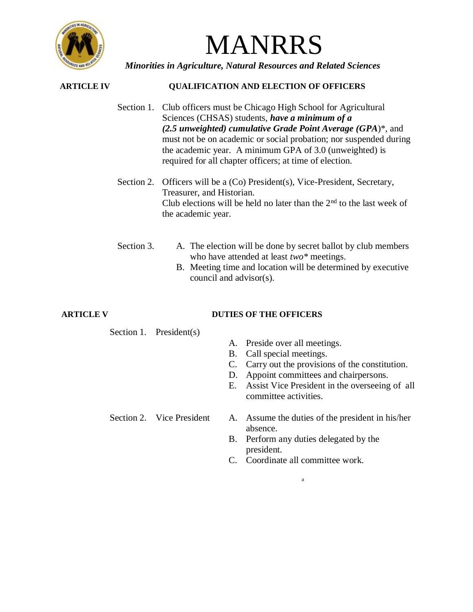

# MANRRS

*Minorities in Agriculture, Natural Resources and Related Sciences*

## **ARTICLE IV QUALIFICATION AND ELECTION OF OFFICERS**

- Section 1. Club officers must be Chicago High School for Agricultural Sciences (CHSAS) students, *have a minimum of a (2.5 unweighted) cumulative Grade Point Average (GPA*)\*, and must not be on academic or social probation; nor suspended during the academic year. A minimum GPA of 3.0 (unweighted) is required for all chapter officers; at time of election.
- Section 2. Officers will be a (Co) President(s), Vice-President, Secretary, Treasurer, and Historian. Club elections will be held no later than the  $2<sup>nd</sup>$  to the last week of the academic year.
- Section 3. A. The election will be done by secret ballot by club members who have attended at least *two\** meetings.
	- B. Meeting time and location will be determined by executive council and advisor(s).

## **ARTICLE V DUTIES OF THE OFFICERS**

Section 1. President(s)

- A. Preside over all meetings.
- B. Call special meetings.
- C. Carry out the provisions of the constitution.
- D. Appoint committees and chairpersons.
- E. Assist Vice President in the overseeing of all committee activities.
- Section 2. Vice President A. Assume the duties of the president in his/her absence.
	- B. Perform any duties delegated by the president.
	- C. Coordinate all committee work.

a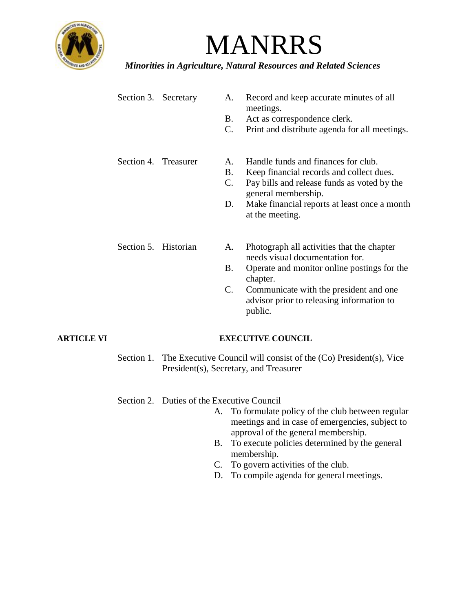

# MANRRS

*Minorities in Agriculture, Natural Resources and Related Sciences*

| Section 3. Secretary | A.<br>B.<br>$\mathcal{C}$ .               | Record and keep accurate minutes of all<br>meetings.<br>Act as correspondence clerk.<br>Print and distribute agenda for all meetings.                                                                                                      |
|----------------------|-------------------------------------------|--------------------------------------------------------------------------------------------------------------------------------------------------------------------------------------------------------------------------------------------|
| Section 4. Treasurer | $A_{\cdot}$<br>B.<br>$\mathbf{C}$ .<br>D. | Handle funds and finances for club.<br>Keep financial records and collect dues.<br>Pay bills and release funds as voted by the<br>general membership.<br>Make financial reports at least once a month<br>at the meeting.                   |
| Section 5. Historian | Α.<br><b>B.</b><br>$\mathbf{C}$ .         | Photograph all activities that the chapter<br>needs visual documentation for.<br>Operate and monitor online postings for the<br>chapter.<br>Communicate with the president and one<br>advisor prior to releasing information to<br>public. |

## **ARTICLE VI EXECUTIVE COUNCIL**

Section 1. The Executive Council will consist of the (Co) President(s), Vice President(s), Secretary, and Treasurer

## Section 2. Duties of the Executive Council

- A. To formulate policy of the club between regular meetings and in case of emergencies, subject to approval of the general membership.
- B. To execute policies determined by the general membership.
- C. To govern activities of the club.
- D. To compile agenda for general meetings.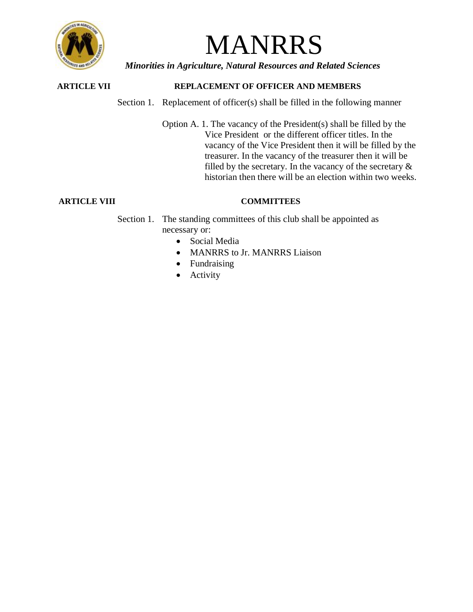

# MANRRS

*Minorities in Agriculture, Natural Resources and Related Sciences*

# **ARTICLE VII REPLACEMENT OF OFFICER AND MEMBERS**

Section 1. Replacement of officer(s) shall be filled in the following manner

Option A. 1. The vacancy of the President(s) shall be filled by the Vice President or the different officer titles. In the vacancy of the Vice President then it will be filled by the treasurer. In the vacancy of the treasurer then it will be filled by the secretary. In the vacancy of the secretary  $\&$ historian then there will be an election within two weeks.

## **ARTICLE VIII COMMITTEES**

Section 1. The standing committees of this club shall be appointed as necessary or:

- Social Media
- MANRRS to Jr. MANRRS Liaison
- Fundraising
- **Activity**